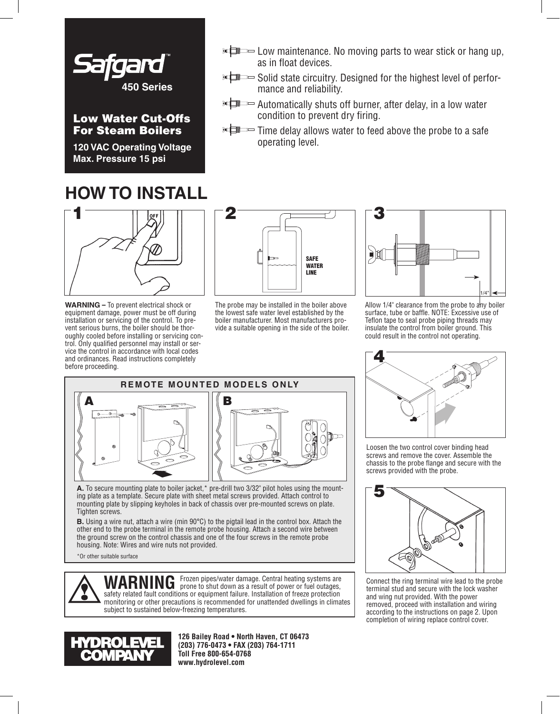

### Low Water Cut-Offs For Steam Boilers

**120 VAC Operating Voltage Max. Pressure 15 psi**

## **HOW TO INSTALL**



**WARNING** – To prevent electrical shock or equipment damage, power must be off during installation or servicing of the control. To prevent serious burns, the boiler should be thoroughly cooled before installing or servicing control. Only qualified personnel may install or service the control in accordance with local codes and ordinances. Read instructions completely before proceeding.



operating level.

as in float devices.

mance and reliability.

condition to prevent dry firing.

The probe may be installed in the boiler above the lowest safe water level established by the boiler manufacturer. Most manufacturers provide a suitable opening in the side of the boiler.



 $\overline{\mathbb{R}}$  Low maintenance. No moving parts to wear stick or hang up,

Solid state circuitry. Designed for the highest level of perfor-

**Automatically shuts off burner, after delay, in a low water in Automatically shuts of burner**, after

**ELECT** Time delay allows water to feed above the probe to a safe

Allow 1/4" clearance from the probe to any boiler surface, tube or baffle. NOTE: Excessive use of Teflon tape to seal probe piping threads may insulate the control from boiler ground. This could result in the control not operating.



**A.** To secure mounting plate to boiler jacket,\* pre-drill two 3/32" pilot holes using the mounting plate as a template. Secure plate with sheet metal screws provided. Attach control to mounting plate by slipping keyholes in back of chassis over pre-mounted screws on plate. Tighten screws.

**B.** Using a wire nut, attach a wire (min 90°C) to the pigtail lead in the control box. Attach the other end to the probe terminal in the remote probe housing. Attach a second wire between the ground screw on the control chassis and one of the four screws in the remote probe housing. Note: Wires and wire nuts not provided.

\*Or other suitable surface



WARNING Frozen pipes/water damage. Central heating systems are **WARNING** prone to shut down as a result of power or fuel outages, safety related fault conditions or equipment failure. Installation of freeze protection monitoring or other precautions is recommended for unattended dwellings in climates subject to sustained below-freezing temperatures.



**126 Bailey Road • North Haven, CT 06473 (203) 776-0473 • FAX (203) 764-1711 Toll Free 800-654-0768 www.hydrolevel.com**



Loosen the two control cover binding head screws and remove the cover. Assemble the chassis to the probe flange and secure with the screws provided with the probe.



Connect the ring terminal wire lead to the probe terminal stud and secure with the lock washer and wing nut provided. With the power removed, proceed with installation and wiring according to the instructions on page 2. Upon completion of wiring replace control cover.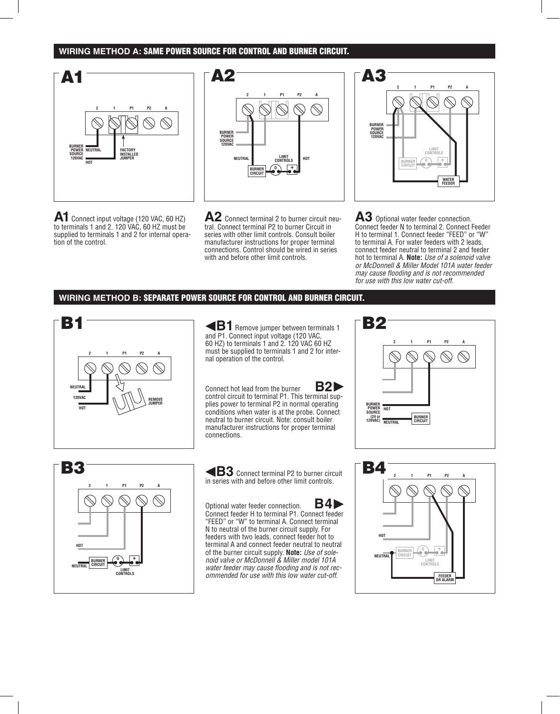#### **WIRING METHOD A:** SAME POWER SOURCE FOR CONTROL AND BURNER CIRCUIT.



**A1**Connect input voltage (120 VAC, 60 HZ) to terminals 1 and 2. 120 VAC, 60 HZ must be supplied to terminals 1 and 2 for internal operation of the control.



**A2** Connect terminal 2 to burner circuit neutral. Connect terminal P2 to burner Circuit in series with other limit controls. Consult boiler manufacturer instructions for proper terminal connections. Control should be wired in series with and before other limit controls.

**BURNER POWER SOURCE 120VAC 0 + LIMIT CONTROLS 2 1 P1 P2 A BURNER CIRCUIT WATER FEEDER**

**A3** Optional water feeder connection. Connect feeder N to terminal 2. Connect Feeder H to terminal 1. Connect feeder "FEED" or "W" to terminal A. For water feeders with 2 leads, connect feeder neutral to terminal 2 and feeder hot to terminal A. **Note:** *Use of a solenoid valve or McDonnell & Miller Model 101A water feeder may cause flooding and is not recommended for use with this low water cut-off.*

#### **WIRING METHOD B:** SEPARATE POWER SOURCE FOR CONTROL AND BURNER CIRCUIT.



**B1** Remove jumper between terminals 1 and P1. Connect input voltage (120 VAC, 60 HZ) to terminals 1 and 2. 120 VAC 60 HZ must be supplied to terminals 1 and 2 for internal operation of the control.

Connect hot lead from the burner **B2** control circuit to terminal P1. This terminal supplies power to terminal P2 in normal operating conditions when water is at the probe. Connect neutral to burner circuit. Note: consult boiler manufacturer instructions for proper terminal connections.



**B3** Connect terminal P2 to burner circuit in series with and before other limit controls.

Optional water feeder connection. **B4** Connect feeder H to terminal P1. Connect feeder "FEED" or "W" to terminal A. Connect terminal N to neutral of the burner circuit supply. For feeders with two leads, connect feeder hot to terminal A and connect feeder neutral to neutral of the burner circuit supply. **Note:** *Use of solenoid valve or McDonnell & Miller model 101A water feeder may cause flooding and is not recommended for use with this low water cut-off.*



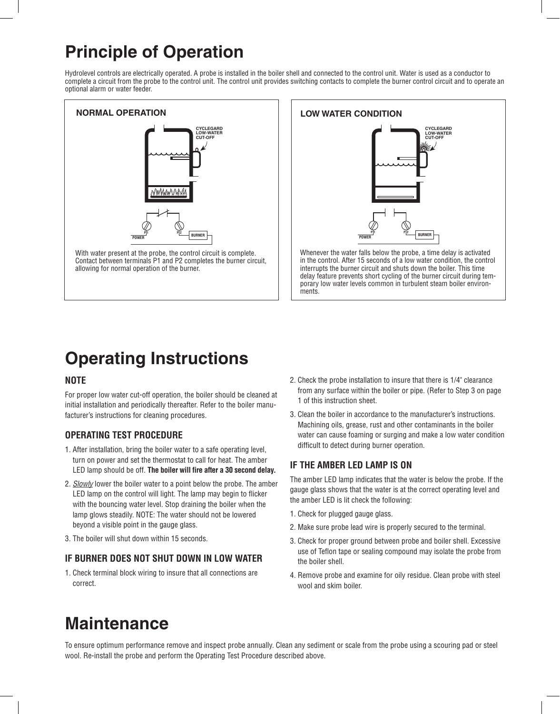## **Principle of Operation**

Hydrolevel controls are electrically operated. A probe is installed in the boiler shell and connected to the control unit. Water is used as a conductor to complete a circuit from the probe to the control unit. The control unit provides switching contacts to complete the burner control circuit and to operate an optional alarm or water feeder.





interrupts the burner circuit and shuts down the boiler. This time delay feature prevents short cycling of the burner circuit during temporary low water levels common in turbulent steam boiler environments.

# **Operating Instructions**

#### **NOTE**

For proper low water cut-off operation, the boiler should be cleaned at initial installation and periodically thereafter. Refer to the boiler manufacturer's instructions for cleaning procedures.

### **OPERATING TEST PROCEDURE**

- 1. After installation, bring the boiler water to a safe operating level, turn on power and set the thermostat to call for heat. The amber LED lamp should be off. **The boiler will fire after a 30 second delay.**
- 2. *Slowly* lower the boiler water to a point below the probe. The amber LED lamp on the control will light. The lamp may begin to flicker with the bouncing water level. Stop draining the boiler when the lamp glows steadily. NOTE: The water should not be lowered beyond a visible point in the gauge glass.
- 3. The boiler will shut down within 15 seconds.

#### **IF BURNER DOES NOT SHUT DOWN IN LOW WATER**

1. Check terminal block wiring to insure that all connections are correct.

- 2. Check the probe installation to insure that there is 1/4" clearance from any surface within the boiler or pipe. (Refer to Step 3 on page 1 of this instruction sheet.
- 3. Clean the boiler in accordance to the manufacturer's instructions. Machining oils, grease, rust and other contaminants in the boiler water can cause foaming or surging and make a low water condition difficult to detect during burner operation.

### **IF THE AMBER LED LAMP IS ON**

The amber LED lamp indicates that the water is below the probe. If the gauge glass shows that the water is at the correct operating level and the amber LED is lit check the following:

- 1. Check for plugged gauge glass.
- 2. Make sure probe lead wire is properly secured to the terminal.
- 3. Check for proper ground between probe and boiler shell. Excessive use of Teflon tape or sealing compound may isolate the probe from the boiler shell.
- 4. Remove probe and examine for oily residue. Clean probe with steel wool and skim boiler.

# **Maintenance**

To ensure optimum performance remove and inspect probe annually. Clean any sediment or scale from the probe using a scouring pad or steel wool. Re-install the probe and perform the Operating Test Procedure described above.